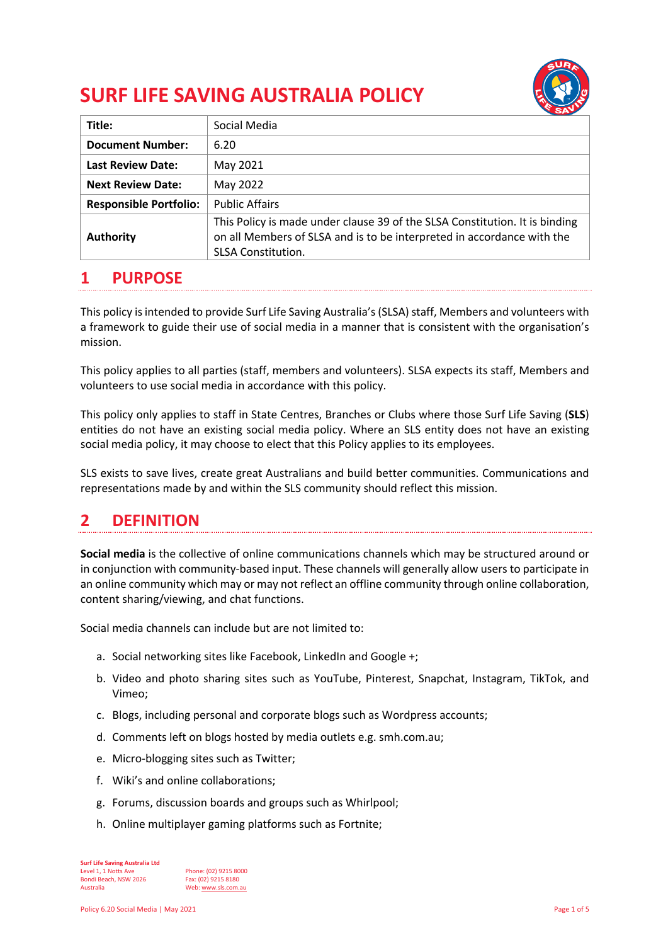# **SURF LIFE SAVING AUSTRALIA POLICY**



| Title:                        | Social Media                                                                                                                                                                       |
|-------------------------------|------------------------------------------------------------------------------------------------------------------------------------------------------------------------------------|
| <b>Document Number:</b>       | 6.20                                                                                                                                                                               |
| <b>Last Review Date:</b>      | May 2021                                                                                                                                                                           |
| <b>Next Review Date:</b>      | May 2022                                                                                                                                                                           |
| <b>Responsible Portfolio:</b> | <b>Public Affairs</b>                                                                                                                                                              |
| <b>Authority</b>              | This Policy is made under clause 39 of the SLSA Constitution. It is binding<br>on all Members of SLSA and is to be interpreted in accordance with the<br><b>SLSA Constitution.</b> |

# **1 PURPOSE**

This policy is intended to provide Surf Life Saving Australia's (SLSA) staff, Members and volunteers with a framework to guide their use of social media in a manner that is consistent with the organisation's mission.

This policy applies to all parties (staff, members and volunteers). SLSA expects its staff, Members and volunteers to use social media in accordance with this policy.

This policy only applies to staff in State Centres, Branches or Clubs where those Surf Life Saving (**SLS**) entities do not have an existing social media policy. Where an SLS entity does not have an existing social media policy, it may choose to elect that this Policy applies to its employees.

SLS exists to save lives, create great Australians and build better communities. Communications and representations made by and within the SLS community should reflect this mission.

# **2 DEFINITION**

**Social media** is the collective of online communications channels which may be structured around or in conjunction with community-based input. These channels will generally allow users to participate in an online community which may or may not reflect an offline community through online collaboration, content sharing/viewing, and chat functions.

Social media channels can include but are not limited to:

- a. Social networking sites like Facebook, LinkedIn and Google +;
- b. Video and photo sharing sites such as YouTube, Pinterest, Snapchat, Instagram, TikTok, and Vimeo;
- c. Blogs, including personal and corporate blogs such as Wordpress accounts;
- d. Comments left on blogs hosted by media outlets e.g. smh.com.au;
- e. Micro-blogging sites such as Twitter;
- f. Wiki's and online collaborations;
- g. Forums, discussion boards and groups such as Whirlpool;
- h. Online multiplayer gaming platforms such as Fortnite;

**Surf Life Saving Australia Ltd Level 1, 1 Notts Ave Phone: (02) 9215 8000<br>
<b>Bondi Beach, NSW 2026** Fax: (02) 9215 8180 Bondi Beach, NSW 2026<br>Australia Web: www.sls.com.au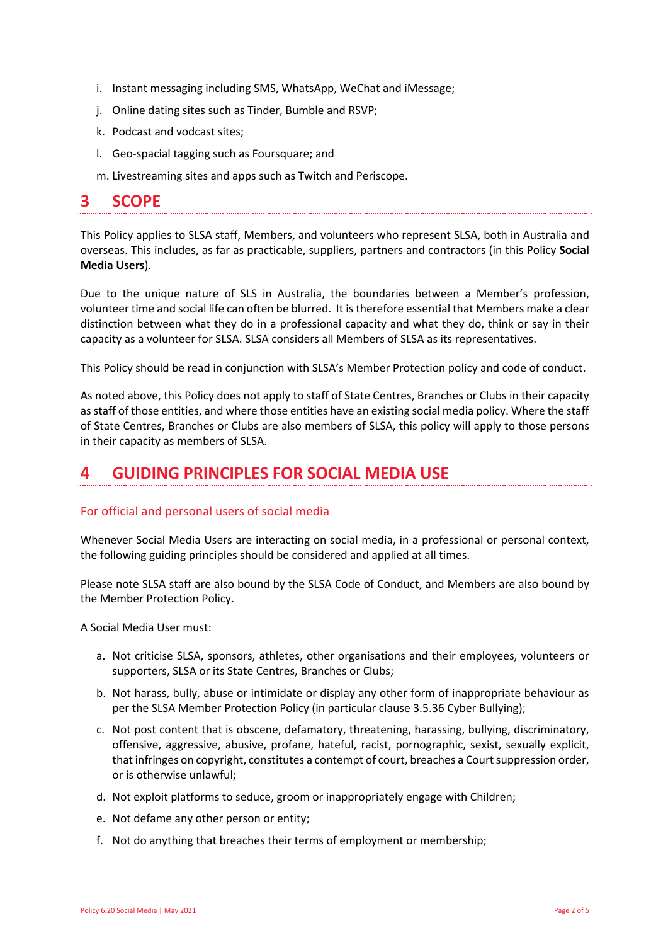- i. Instant messaging including SMS, WhatsApp, WeChat and iMessage;
- j. Online dating sites such as Tinder, Bumble and RSVP;
- k. Podcast and vodcast sites;
- l. Geo-spacial tagging such as Foursquare; and
- m. Livestreaming sites and apps such as Twitch and Periscope.

### **3 SCOPE**

This Policy applies to SLSA staff, Members, and volunteers who represent SLSA, both in Australia and overseas. This includes, as far as practicable, suppliers, partners and contractors (in this Policy **Social Media Users**).

Due to the unique nature of SLS in Australia, the boundaries between a Member's profession, volunteer time and social life can often be blurred. It is therefore essential that Members make a clear distinction between what they do in a professional capacity and what they do, think or say in their capacity as a volunteer for SLSA. SLSA considers all Members of SLSA as its representatives.

This Policy should be read in conjunction with SLSA's Member Protection policy and code of conduct.

As noted above, this Policy does not apply to staff of State Centres, Branches or Clubs in their capacity as staff of those entities, and where those entities have an existing social media policy. Where the staff of State Centres, Branches or Clubs are also members of SLSA, this policy will apply to those persons in their capacity as members of SLSA.

### **4 GUIDING PRINCIPLES FOR SOCIAL MEDIA USE**

#### For official and personal users of social media

Whenever Social Media Users are interacting on social media, in a professional or personal context, the following guiding principles should be considered and applied at all times.

Please note SLSA staff are also bound by the SLSA Code of Conduct, and Members are also bound by the Member Protection Policy.

A Social Media User must:

- a. Not criticise SLSA, sponsors, athletes, other organisations and their employees, volunteers or supporters, SLSA or its State Centres, Branches or Clubs;
- b. Not harass, bully, abuse or intimidate or display any other form of inappropriate behaviour as per the SLSA Member Protection Policy (in particular clause 3.5.36 Cyber Bullying);
- c. Not post content that is obscene, defamatory, threatening, harassing, bullying, discriminatory, offensive, aggressive, abusive, profane, hateful, racist, pornographic, sexist, sexually explicit, that infringes on copyright, constitutes a contempt of court, breaches a Court suppression order, or is otherwise unlawful;
- d. Not exploit platforms to seduce, groom or inappropriately engage with Children;
- e. Not defame any other person or entity;
- f. Not do anything that breaches their terms of employment or membership;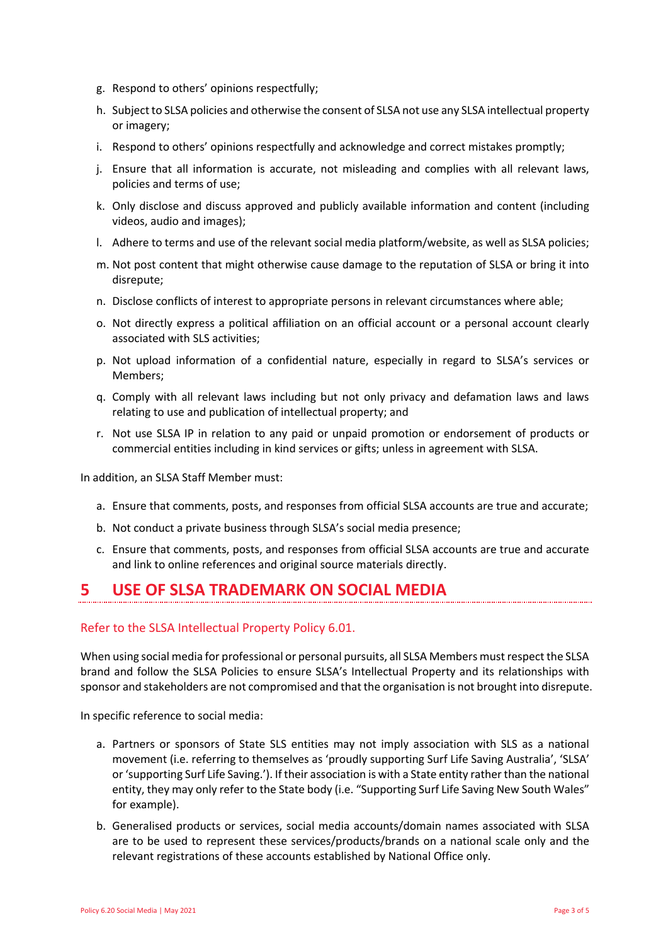- g. Respond to others' opinions respectfully;
- h. Subject to SLSA policies and otherwise the consent of SLSA not use any SLSA intellectual property or imagery;
- i. Respond to others' opinions respectfully and acknowledge and correct mistakes promptly;
- j. Ensure that all information is accurate, not misleading and complies with all relevant laws, policies and terms of use;
- k. Only disclose and discuss approved and publicly available information and content (including videos, audio and images);
- l. Adhere to terms and use of the relevant social media platform/website, as well as SLSA policies;
- m. Not post content that might otherwise cause damage to the reputation of SLSA or bring it into disrepute;
- n. Disclose conflicts of interest to appropriate persons in relevant circumstances where able;
- o. Not directly express a political affiliation on an official account or a personal account clearly associated with SLS activities;
- p. Not upload information of a confidential nature, especially in regard to SLSA's services or Members;
- q. Comply with all relevant laws including but not only privacy and defamation laws and laws relating to use and publication of intellectual property; and
- r. Not use SLSA IP in relation to any paid or unpaid promotion or endorsement of products or commercial entities including in kind services or gifts; unless in agreement with SLSA.

In addition, an SLSA Staff Member must:

- a. Ensure that comments, posts, and responses from official SLSA accounts are true and accurate;
- b. Not conduct a private business through SLSA's social media presence;
- c. Ensure that comments, posts, and responses from official SLSA accounts are true and accurate and link to online references and original source materials directly.

### **5 USE OF SLSA TRADEMARK ON SOCIAL MEDIA**

#### Refer to the SLSA Intellectual Property Policy 6.01.

When using social media for professional or personal pursuits, all SLSA Members must respect the SLSA brand and follow the SLSA Policies to ensure SLSA's Intellectual Property and its relationships with sponsor and stakeholders are not compromised and that the organisation is not brought into disrepute.

In specific reference to social media:

- a. Partners or sponsors of State SLS entities may not imply association with SLS as a national movement (i.e. referring to themselves as 'proudly supporting Surf Life Saving Australia', 'SLSA' or 'supporting Surf Life Saving.'). If their association is with a State entity rather than the national entity, they may only refer to the State body (i.e. "Supporting Surf Life Saving New South Wales" for example).
- b. Generalised products or services, social media accounts/domain names associated with SLSA are to be used to represent these services/products/brands on a national scale only and the relevant registrations of these accounts established by National Office only.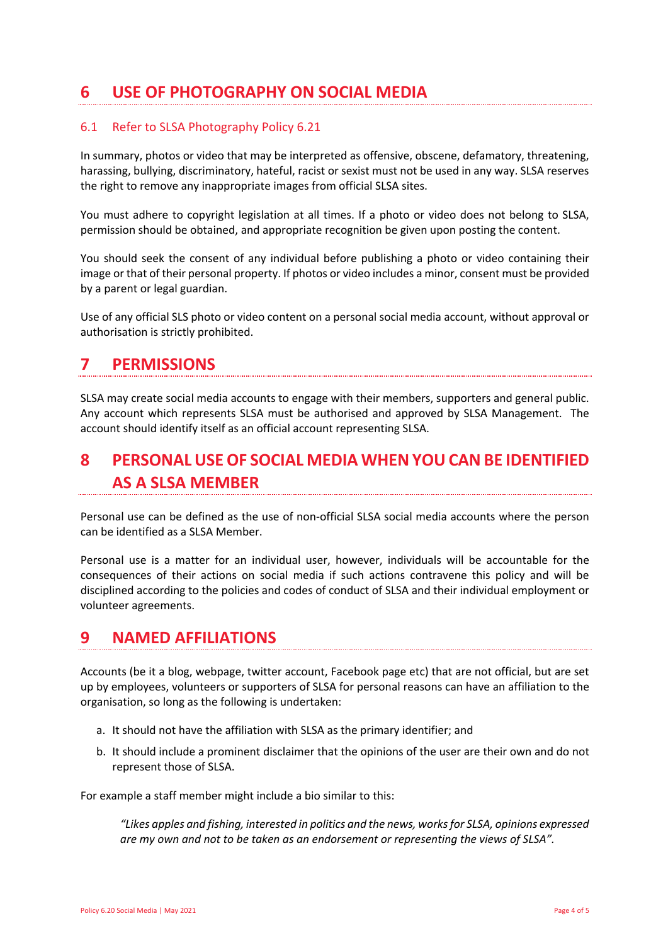# **6 USE OF PHOTOGRAPHY ON SOCIAL MEDIA**

#### 6.1 Refer to SLSA Photography Policy 6.21

In summary, photos or video that may be interpreted as offensive, obscene, defamatory, threatening, harassing, bullying, discriminatory, hateful, racist or sexist must not be used in any way. SLSA reserves the right to remove any inappropriate images from official SLSA sites.

You must adhere to copyright legislation at all times. If a photo or video does not belong to SLSA, permission should be obtained, and appropriate recognition be given upon posting the content.

You should seek the consent of any individual before publishing a photo or video containing their image or that of their personal property. If photos or video includes a minor, consent must be provided by a parent or legal guardian.

Use of any official SLS photo or video content on a personal social media account, without approval or authorisation is strictly prohibited.

### **7 PERMISSIONS**

SLSA may create social media accounts to engage with their members, supporters and general public. Any account which represents SLSA must be authorised and approved by SLSA Management. The account should identify itself as an official account representing SLSA.

# **8 PERSONAL USE OF SOCIAL MEDIA WHEN YOU CAN BE IDENTIFIED AS A SLSA MEMBER**

Personal use can be defined as the use of non-official SLSA social media accounts where the person can be identified as a SLSA Member.

Personal use is a matter for an individual user, however, individuals will be accountable for the consequences of their actions on social media if such actions contravene this policy and will be disciplined according to the policies and codes of conduct of SLSA and their individual employment or volunteer agreements.

### **9 NAMED AFFILIATIONS**

Accounts (be it a blog, webpage, twitter account, Facebook page etc) that are not official, but are set up by employees, volunteers or supporters of SLSA for personal reasons can have an affiliation to the organisation, so long as the following is undertaken:

- a. It should not have the affiliation with SLSA as the primary identifier; and
- b. It should include a prominent disclaimer that the opinions of the user are their own and do not represent those of SLSA.

For example a staff member might include a bio similar to this:

*"Likes apples and fishing, interested in politics and the news, works for SLSA, opinions expressed are my own and not to be taken as an endorsement or representing the views of SLSA".*